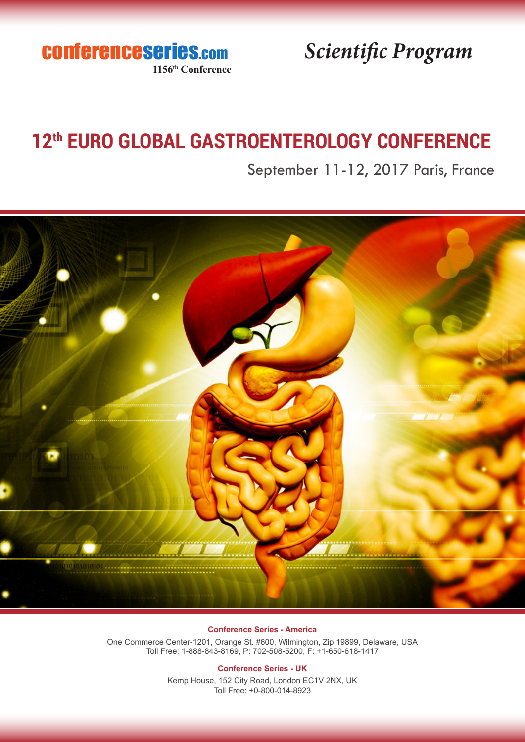conferenceseries.com **1156th Conference**

*Scientific Program*

## **12th EURO GLOBAL GASTROENTEROLOGY CONFERENCE**

September 11-12, 2017 Paris, France



### **Conference Series - America**

One Commerce Center-1201, Orange St. #600, Wilmington, Zip 19899, Delaware, USA Toll Free: 1-888-843-8169, P: 702-508-5200, F: +1-650-618-1417

### **Conference Series - UK**

Kemp House, 152 City Road, London EC1V 2NX, UK Toll Free: +0-800-014-8923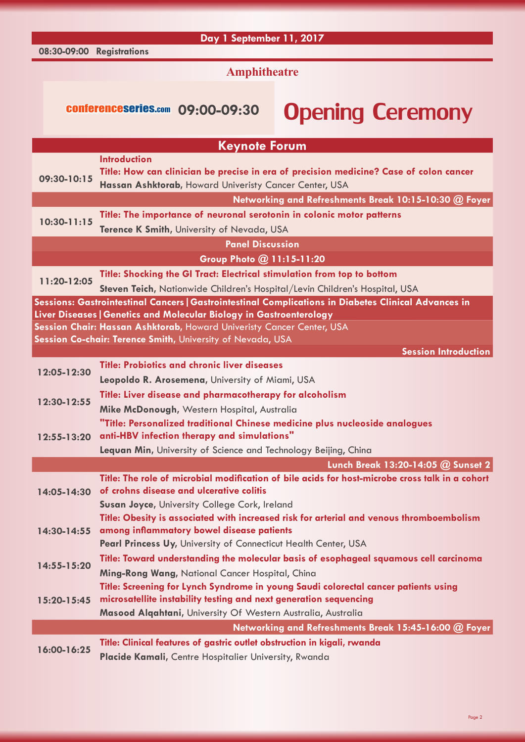**08:30-09:00 Registrations**

**Day 1 September 11, 2017**

**Amphitheatre**

## conferenceseries.com 09:00-09:30 Opening Ceremony

|                 | <b>Keynote Forum</b>                                                                                                                                                                                                     |
|-----------------|--------------------------------------------------------------------------------------------------------------------------------------------------------------------------------------------------------------------------|
| 09:30-10:15     | <b>Introduction</b><br>Title: How can clinician be precise in era of precision medicine? Case of colon cancer<br>Hassan Ashktorab, Howard Univeristy Cancer Center, USA                                                  |
|                 | Networking and Refreshments Break 10:15-10:30 @ Foyer                                                                                                                                                                    |
| $10:30 - 11:15$ | Title: The importance of neuronal serotonin in colonic motor patterns<br>Terence K Smith, University of Nevada, USA                                                                                                      |
|                 | <b>Panel Discussion</b>                                                                                                                                                                                                  |
|                 | Group Photo @ 11:15-11:20                                                                                                                                                                                                |
| 11:20-12:05     | Title: Shocking the GI Tract: Electrical stimulation from top to bottom<br>Steven Teich, Nationwide Children's Hospital/Levin Children's Hospital, USA                                                                   |
|                 | Sessions: Gastrointestinal Cancers   Gastrointestinal Complications in Diabetes Clinical Advances in                                                                                                                     |
|                 | Liver Diseases   Genetics and Molecular Biology in Gastroenterology                                                                                                                                                      |
|                 | Session Chair: Hassan Ashktorab, Howard Univeristy Cancer Center, USA<br>Session Co-chair: Terence Smith, University of Nevada, USA                                                                                      |
|                 | <b>Session Introduction</b>                                                                                                                                                                                              |
|                 | <b>Title: Probiotics and chronic liver diseases</b>                                                                                                                                                                      |
| 12:05-12:30     | Leopoldo R. Arosemena, University of Miami, USA                                                                                                                                                                          |
| 12:30-12:55     | Title: Liver disease and pharmacotherapy for alcoholism                                                                                                                                                                  |
|                 | Mike McDonough, Western Hospital, Australia                                                                                                                                                                              |
| 12:55-13:20     | "Title: Personalized traditional Chinese medicine plus nucleoside analogues<br>anti-HBV infection therapy and simulations"                                                                                               |
|                 | Lequan Min, University of Science and Technology Beijing, China                                                                                                                                                          |
|                 | Lunch Break 13:20-14:05 @ Sunset 2                                                                                                                                                                                       |
| 14:05-14:30     | Title: The role of microbial modification of bile acids for host-microbe cross talk in a cohort<br>of crohns disease and ulcerative colitis                                                                              |
|                 | Susan Joyce, University College Cork, Ireland                                                                                                                                                                            |
|                 | Title: Obesity is associated with increased risk for arterial and venous thromboembolism<br>14:30-14:55 among inflammatory bowel disease patients                                                                        |
|                 | Pearl Princess Uy, University of Connecticut Health Center, USA                                                                                                                                                          |
| 14:55-15:20     | Title: Toward understanding the molecular basis of esophageal squamous cell carcinoma<br>Ming-Rong Wang, National Cancer Hospital, China                                                                                 |
| 15:20-15:45     | Title: Screening for Lynch Syndrome in young Saudi colorectal cancer patients using<br>microsatellite instability testing and next generation sequencing<br>Masood Alqahtani, University Of Western Australia, Australia |
|                 | Networking and Refreshments Break 15:45-16:00 @ Foyer                                                                                                                                                                    |
| 16:00-16:25     | Title: Clinical features of gastric outlet obstruction in kigali, rwanda                                                                                                                                                 |
|                 | Placide Kamali, Centre Hospitalier University, Rwanda                                                                                                                                                                    |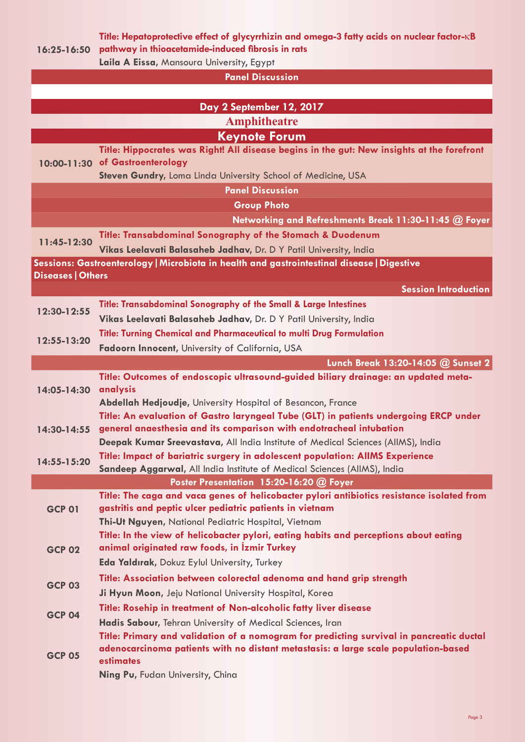**Title: Hepatoprotective effect of glycyrrhizin and omega-3 fatty acids on nuclear factor-**κ**B** 

**16:25-16:50 pathway in thioacetamide-induced fibrosis in rats Laila A Eissa,** Mansoura University, Egypt

**Panel Discussion**

| <b>Amphitheatre</b><br><b>Keynote Forum</b><br>Title: Hippocrates was Right! All disease begins in the gut: New insights at the forefront<br>10:00-11:30 of Gastroenterology<br>Steven Gundry, Loma Linda University School of Medicine, USA<br><b>Panel Discussion</b><br><b>Group Photo</b><br>Networking and Refreshments Break 11:30-11:45 @ Foyer<br><b>Title: Transabdominal Sonography of the Stomach &amp; Duodenum</b><br>11:45-12:30<br>Vikas Leelavati Balasaheb Jadhav, Dr. D Y Patil University, India<br>Sessions: Gastroenterology   Microbiota in health and gastrointestinal disease   Digestive<br><b>Diseases   Others</b><br><b>Session Introduction</b><br><b>Title: Transabdominal Sonography of the Small &amp; Large Intestines</b><br>12:30-12:55<br>Vikas Leelavati Balasaheb Jadhav, Dr. D Y Patil University, India<br>Title: Turning Chemical and Pharmaceutical to multi Drug Formulation<br>12:55-13:20<br>Fadoorn Innocent, University of California, USA<br>Lunch Break 13:20-14:05 @ Sunset 2<br>Title: Outcomes of endoscopic ultrasound-guided biliary drainage: an updated meta-<br>analysis<br>14:05-14:30<br>Abdellah Hedjoudje, University Hospital of Besancon, France<br>Title: An evaluation of Gastro laryngeal Tube (GLT) in patients undergoing ERCP under<br>general anaesthesia and its comparison with endotracheal intubation<br>14:30-14:55<br>Deepak Kumar Sreevastava, All India Institute of Medical Sciences (AllMS), India<br>Title: Impact of bariatric surgery in adolescent population: AIIMS Experience<br>14:55-15:20<br>Sandeep Aggarwal, All India Institute of Medical Sciences (AllMS), India<br>Poster Presentation 15:20-16:20 @ Foyer<br>Title: The caga and vaca genes of helicobacter pylori antibiotics resistance isolated from<br>gastritis and peptic ulcer pediatric patients in vietnam<br><b>GCP 01</b><br>Thi-Ut Nguyen, National Pediatric Hospital, Vietnam<br>Title: In the view of helicobacter pylori, eating habits and perceptions about eating<br>animal originated raw foods, in Izmir Turkey<br><b>GCP 02</b><br>Eda Yaldırak, Dokuz Eylul University, Turkey<br>Title: Association between colorectal adenoma and hand grip strength<br><b>GCP 03</b><br>Ji Hyun Moon, Jeju National University Hospital, Korea<br>Title: Rosehip in treatment of Non-alcoholic fatty liver disease<br><b>GCP 04</b><br>Hadis Sabour, Tehran University of Medical Sciences, Iran<br>Title: Primary and validation of a nomogram for predicting survival in pancreatic ductal<br>adenocarcinoma patients with no distant metastasis: a large scale population-based<br><b>GCP 05</b><br>estimates |  |                                  |  |
|----------------------------------------------------------------------------------------------------------------------------------------------------------------------------------------------------------------------------------------------------------------------------------------------------------------------------------------------------------------------------------------------------------------------------------------------------------------------------------------------------------------------------------------------------------------------------------------------------------------------------------------------------------------------------------------------------------------------------------------------------------------------------------------------------------------------------------------------------------------------------------------------------------------------------------------------------------------------------------------------------------------------------------------------------------------------------------------------------------------------------------------------------------------------------------------------------------------------------------------------------------------------------------------------------------------------------------------------------------------------------------------------------------------------------------------------------------------------------------------------------------------------------------------------------------------------------------------------------------------------------------------------------------------------------------------------------------------------------------------------------------------------------------------------------------------------------------------------------------------------------------------------------------------------------------------------------------------------------------------------------------------------------------------------------------------------------------------------------------------------------------------------------------------------------------------------------------------------------------------------------------------------------------------------------------------------------------------------------------------------------------------------------------------------------------------------------------------------------------------------------------------------------------------------------------------------------------------------------------------------------------------------------------------------------|--|----------------------------------|--|
|                                                                                                                                                                                                                                                                                                                                                                                                                                                                                                                                                                                                                                                                                                                                                                                                                                                                                                                                                                                                                                                                                                                                                                                                                                                                                                                                                                                                                                                                                                                                                                                                                                                                                                                                                                                                                                                                                                                                                                                                                                                                                                                                                                                                                                                                                                                                                                                                                                                                                                                                                                                                                                                                            |  | Day 2 September 12, 2017         |  |
|                                                                                                                                                                                                                                                                                                                                                                                                                                                                                                                                                                                                                                                                                                                                                                                                                                                                                                                                                                                                                                                                                                                                                                                                                                                                                                                                                                                                                                                                                                                                                                                                                                                                                                                                                                                                                                                                                                                                                                                                                                                                                                                                                                                                                                                                                                                                                                                                                                                                                                                                                                                                                                                                            |  |                                  |  |
|                                                                                                                                                                                                                                                                                                                                                                                                                                                                                                                                                                                                                                                                                                                                                                                                                                                                                                                                                                                                                                                                                                                                                                                                                                                                                                                                                                                                                                                                                                                                                                                                                                                                                                                                                                                                                                                                                                                                                                                                                                                                                                                                                                                                                                                                                                                                                                                                                                                                                                                                                                                                                                                                            |  |                                  |  |
|                                                                                                                                                                                                                                                                                                                                                                                                                                                                                                                                                                                                                                                                                                                                                                                                                                                                                                                                                                                                                                                                                                                                                                                                                                                                                                                                                                                                                                                                                                                                                                                                                                                                                                                                                                                                                                                                                                                                                                                                                                                                                                                                                                                                                                                                                                                                                                                                                                                                                                                                                                                                                                                                            |  |                                  |  |
|                                                                                                                                                                                                                                                                                                                                                                                                                                                                                                                                                                                                                                                                                                                                                                                                                                                                                                                                                                                                                                                                                                                                                                                                                                                                                                                                                                                                                                                                                                                                                                                                                                                                                                                                                                                                                                                                                                                                                                                                                                                                                                                                                                                                                                                                                                                                                                                                                                                                                                                                                                                                                                                                            |  |                                  |  |
|                                                                                                                                                                                                                                                                                                                                                                                                                                                                                                                                                                                                                                                                                                                                                                                                                                                                                                                                                                                                                                                                                                                                                                                                                                                                                                                                                                                                                                                                                                                                                                                                                                                                                                                                                                                                                                                                                                                                                                                                                                                                                                                                                                                                                                                                                                                                                                                                                                                                                                                                                                                                                                                                            |  |                                  |  |
|                                                                                                                                                                                                                                                                                                                                                                                                                                                                                                                                                                                                                                                                                                                                                                                                                                                                                                                                                                                                                                                                                                                                                                                                                                                                                                                                                                                                                                                                                                                                                                                                                                                                                                                                                                                                                                                                                                                                                                                                                                                                                                                                                                                                                                                                                                                                                                                                                                                                                                                                                                                                                                                                            |  |                                  |  |
|                                                                                                                                                                                                                                                                                                                                                                                                                                                                                                                                                                                                                                                                                                                                                                                                                                                                                                                                                                                                                                                                                                                                                                                                                                                                                                                                                                                                                                                                                                                                                                                                                                                                                                                                                                                                                                                                                                                                                                                                                                                                                                                                                                                                                                                                                                                                                                                                                                                                                                                                                                                                                                                                            |  |                                  |  |
|                                                                                                                                                                                                                                                                                                                                                                                                                                                                                                                                                                                                                                                                                                                                                                                                                                                                                                                                                                                                                                                                                                                                                                                                                                                                                                                                                                                                                                                                                                                                                                                                                                                                                                                                                                                                                                                                                                                                                                                                                                                                                                                                                                                                                                                                                                                                                                                                                                                                                                                                                                                                                                                                            |  |                                  |  |
|                                                                                                                                                                                                                                                                                                                                                                                                                                                                                                                                                                                                                                                                                                                                                                                                                                                                                                                                                                                                                                                                                                                                                                                                                                                                                                                                                                                                                                                                                                                                                                                                                                                                                                                                                                                                                                                                                                                                                                                                                                                                                                                                                                                                                                                                                                                                                                                                                                                                                                                                                                                                                                                                            |  |                                  |  |
|                                                                                                                                                                                                                                                                                                                                                                                                                                                                                                                                                                                                                                                                                                                                                                                                                                                                                                                                                                                                                                                                                                                                                                                                                                                                                                                                                                                                                                                                                                                                                                                                                                                                                                                                                                                                                                                                                                                                                                                                                                                                                                                                                                                                                                                                                                                                                                                                                                                                                                                                                                                                                                                                            |  |                                  |  |
|                                                                                                                                                                                                                                                                                                                                                                                                                                                                                                                                                                                                                                                                                                                                                                                                                                                                                                                                                                                                                                                                                                                                                                                                                                                                                                                                                                                                                                                                                                                                                                                                                                                                                                                                                                                                                                                                                                                                                                                                                                                                                                                                                                                                                                                                                                                                                                                                                                                                                                                                                                                                                                                                            |  |                                  |  |
|                                                                                                                                                                                                                                                                                                                                                                                                                                                                                                                                                                                                                                                                                                                                                                                                                                                                                                                                                                                                                                                                                                                                                                                                                                                                                                                                                                                                                                                                                                                                                                                                                                                                                                                                                                                                                                                                                                                                                                                                                                                                                                                                                                                                                                                                                                                                                                                                                                                                                                                                                                                                                                                                            |  |                                  |  |
|                                                                                                                                                                                                                                                                                                                                                                                                                                                                                                                                                                                                                                                                                                                                                                                                                                                                                                                                                                                                                                                                                                                                                                                                                                                                                                                                                                                                                                                                                                                                                                                                                                                                                                                                                                                                                                                                                                                                                                                                                                                                                                                                                                                                                                                                                                                                                                                                                                                                                                                                                                                                                                                                            |  |                                  |  |
|                                                                                                                                                                                                                                                                                                                                                                                                                                                                                                                                                                                                                                                                                                                                                                                                                                                                                                                                                                                                                                                                                                                                                                                                                                                                                                                                                                                                                                                                                                                                                                                                                                                                                                                                                                                                                                                                                                                                                                                                                                                                                                                                                                                                                                                                                                                                                                                                                                                                                                                                                                                                                                                                            |  |                                  |  |
|                                                                                                                                                                                                                                                                                                                                                                                                                                                                                                                                                                                                                                                                                                                                                                                                                                                                                                                                                                                                                                                                                                                                                                                                                                                                                                                                                                                                                                                                                                                                                                                                                                                                                                                                                                                                                                                                                                                                                                                                                                                                                                                                                                                                                                                                                                                                                                                                                                                                                                                                                                                                                                                                            |  |                                  |  |
|                                                                                                                                                                                                                                                                                                                                                                                                                                                                                                                                                                                                                                                                                                                                                                                                                                                                                                                                                                                                                                                                                                                                                                                                                                                                                                                                                                                                                                                                                                                                                                                                                                                                                                                                                                                                                                                                                                                                                                                                                                                                                                                                                                                                                                                                                                                                                                                                                                                                                                                                                                                                                                                                            |  |                                  |  |
|                                                                                                                                                                                                                                                                                                                                                                                                                                                                                                                                                                                                                                                                                                                                                                                                                                                                                                                                                                                                                                                                                                                                                                                                                                                                                                                                                                                                                                                                                                                                                                                                                                                                                                                                                                                                                                                                                                                                                                                                                                                                                                                                                                                                                                                                                                                                                                                                                                                                                                                                                                                                                                                                            |  |                                  |  |
|                                                                                                                                                                                                                                                                                                                                                                                                                                                                                                                                                                                                                                                                                                                                                                                                                                                                                                                                                                                                                                                                                                                                                                                                                                                                                                                                                                                                                                                                                                                                                                                                                                                                                                                                                                                                                                                                                                                                                                                                                                                                                                                                                                                                                                                                                                                                                                                                                                                                                                                                                                                                                                                                            |  |                                  |  |
|                                                                                                                                                                                                                                                                                                                                                                                                                                                                                                                                                                                                                                                                                                                                                                                                                                                                                                                                                                                                                                                                                                                                                                                                                                                                                                                                                                                                                                                                                                                                                                                                                                                                                                                                                                                                                                                                                                                                                                                                                                                                                                                                                                                                                                                                                                                                                                                                                                                                                                                                                                                                                                                                            |  |                                  |  |
|                                                                                                                                                                                                                                                                                                                                                                                                                                                                                                                                                                                                                                                                                                                                                                                                                                                                                                                                                                                                                                                                                                                                                                                                                                                                                                                                                                                                                                                                                                                                                                                                                                                                                                                                                                                                                                                                                                                                                                                                                                                                                                                                                                                                                                                                                                                                                                                                                                                                                                                                                                                                                                                                            |  |                                  |  |
|                                                                                                                                                                                                                                                                                                                                                                                                                                                                                                                                                                                                                                                                                                                                                                                                                                                                                                                                                                                                                                                                                                                                                                                                                                                                                                                                                                                                                                                                                                                                                                                                                                                                                                                                                                                                                                                                                                                                                                                                                                                                                                                                                                                                                                                                                                                                                                                                                                                                                                                                                                                                                                                                            |  |                                  |  |
|                                                                                                                                                                                                                                                                                                                                                                                                                                                                                                                                                                                                                                                                                                                                                                                                                                                                                                                                                                                                                                                                                                                                                                                                                                                                                                                                                                                                                                                                                                                                                                                                                                                                                                                                                                                                                                                                                                                                                                                                                                                                                                                                                                                                                                                                                                                                                                                                                                                                                                                                                                                                                                                                            |  |                                  |  |
|                                                                                                                                                                                                                                                                                                                                                                                                                                                                                                                                                                                                                                                                                                                                                                                                                                                                                                                                                                                                                                                                                                                                                                                                                                                                                                                                                                                                                                                                                                                                                                                                                                                                                                                                                                                                                                                                                                                                                                                                                                                                                                                                                                                                                                                                                                                                                                                                                                                                                                                                                                                                                                                                            |  |                                  |  |
|                                                                                                                                                                                                                                                                                                                                                                                                                                                                                                                                                                                                                                                                                                                                                                                                                                                                                                                                                                                                                                                                                                                                                                                                                                                                                                                                                                                                                                                                                                                                                                                                                                                                                                                                                                                                                                                                                                                                                                                                                                                                                                                                                                                                                                                                                                                                                                                                                                                                                                                                                                                                                                                                            |  |                                  |  |
|                                                                                                                                                                                                                                                                                                                                                                                                                                                                                                                                                                                                                                                                                                                                                                                                                                                                                                                                                                                                                                                                                                                                                                                                                                                                                                                                                                                                                                                                                                                                                                                                                                                                                                                                                                                                                                                                                                                                                                                                                                                                                                                                                                                                                                                                                                                                                                                                                                                                                                                                                                                                                                                                            |  |                                  |  |
|                                                                                                                                                                                                                                                                                                                                                                                                                                                                                                                                                                                                                                                                                                                                                                                                                                                                                                                                                                                                                                                                                                                                                                                                                                                                                                                                                                                                                                                                                                                                                                                                                                                                                                                                                                                                                                                                                                                                                                                                                                                                                                                                                                                                                                                                                                                                                                                                                                                                                                                                                                                                                                                                            |  |                                  |  |
|                                                                                                                                                                                                                                                                                                                                                                                                                                                                                                                                                                                                                                                                                                                                                                                                                                                                                                                                                                                                                                                                                                                                                                                                                                                                                                                                                                                                                                                                                                                                                                                                                                                                                                                                                                                                                                                                                                                                                                                                                                                                                                                                                                                                                                                                                                                                                                                                                                                                                                                                                                                                                                                                            |  |                                  |  |
|                                                                                                                                                                                                                                                                                                                                                                                                                                                                                                                                                                                                                                                                                                                                                                                                                                                                                                                                                                                                                                                                                                                                                                                                                                                                                                                                                                                                                                                                                                                                                                                                                                                                                                                                                                                                                                                                                                                                                                                                                                                                                                                                                                                                                                                                                                                                                                                                                                                                                                                                                                                                                                                                            |  |                                  |  |
|                                                                                                                                                                                                                                                                                                                                                                                                                                                                                                                                                                                                                                                                                                                                                                                                                                                                                                                                                                                                                                                                                                                                                                                                                                                                                                                                                                                                                                                                                                                                                                                                                                                                                                                                                                                                                                                                                                                                                                                                                                                                                                                                                                                                                                                                                                                                                                                                                                                                                                                                                                                                                                                                            |  |                                  |  |
|                                                                                                                                                                                                                                                                                                                                                                                                                                                                                                                                                                                                                                                                                                                                                                                                                                                                                                                                                                                                                                                                                                                                                                                                                                                                                                                                                                                                                                                                                                                                                                                                                                                                                                                                                                                                                                                                                                                                                                                                                                                                                                                                                                                                                                                                                                                                                                                                                                                                                                                                                                                                                                                                            |  |                                  |  |
|                                                                                                                                                                                                                                                                                                                                                                                                                                                                                                                                                                                                                                                                                                                                                                                                                                                                                                                                                                                                                                                                                                                                                                                                                                                                                                                                                                                                                                                                                                                                                                                                                                                                                                                                                                                                                                                                                                                                                                                                                                                                                                                                                                                                                                                                                                                                                                                                                                                                                                                                                                                                                                                                            |  |                                  |  |
|                                                                                                                                                                                                                                                                                                                                                                                                                                                                                                                                                                                                                                                                                                                                                                                                                                                                                                                                                                                                                                                                                                                                                                                                                                                                                                                                                                                                                                                                                                                                                                                                                                                                                                                                                                                                                                                                                                                                                                                                                                                                                                                                                                                                                                                                                                                                                                                                                                                                                                                                                                                                                                                                            |  |                                  |  |
|                                                                                                                                                                                                                                                                                                                                                                                                                                                                                                                                                                                                                                                                                                                                                                                                                                                                                                                                                                                                                                                                                                                                                                                                                                                                                                                                                                                                                                                                                                                                                                                                                                                                                                                                                                                                                                                                                                                                                                                                                                                                                                                                                                                                                                                                                                                                                                                                                                                                                                                                                                                                                                                                            |  |                                  |  |
|                                                                                                                                                                                                                                                                                                                                                                                                                                                                                                                                                                                                                                                                                                                                                                                                                                                                                                                                                                                                                                                                                                                                                                                                                                                                                                                                                                                                                                                                                                                                                                                                                                                                                                                                                                                                                                                                                                                                                                                                                                                                                                                                                                                                                                                                                                                                                                                                                                                                                                                                                                                                                                                                            |  |                                  |  |
|                                                                                                                                                                                                                                                                                                                                                                                                                                                                                                                                                                                                                                                                                                                                                                                                                                                                                                                                                                                                                                                                                                                                                                                                                                                                                                                                                                                                                                                                                                                                                                                                                                                                                                                                                                                                                                                                                                                                                                                                                                                                                                                                                                                                                                                                                                                                                                                                                                                                                                                                                                                                                                                                            |  |                                  |  |
|                                                                                                                                                                                                                                                                                                                                                                                                                                                                                                                                                                                                                                                                                                                                                                                                                                                                                                                                                                                                                                                                                                                                                                                                                                                                                                                                                                                                                                                                                                                                                                                                                                                                                                                                                                                                                                                                                                                                                                                                                                                                                                                                                                                                                                                                                                                                                                                                                                                                                                                                                                                                                                                                            |  |                                  |  |
|                                                                                                                                                                                                                                                                                                                                                                                                                                                                                                                                                                                                                                                                                                                                                                                                                                                                                                                                                                                                                                                                                                                                                                                                                                                                                                                                                                                                                                                                                                                                                                                                                                                                                                                                                                                                                                                                                                                                                                                                                                                                                                                                                                                                                                                                                                                                                                                                                                                                                                                                                                                                                                                                            |  | Ning Pu, Fudan University, China |  |